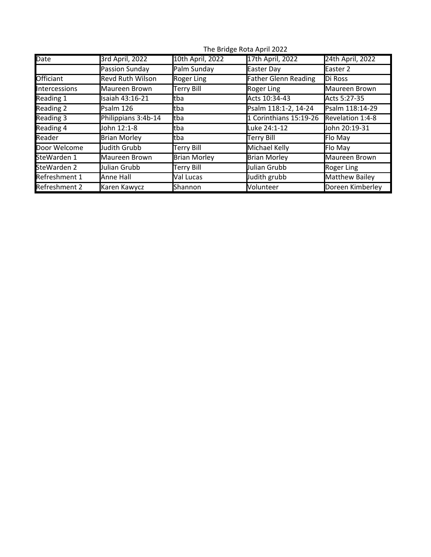|               | $1112$ bridge notal norm $2022$ |                     |                             |                  |  |  |
|---------------|---------------------------------|---------------------|-----------------------------|------------------|--|--|
| <b>Date</b>   | 3rd April, 2022                 | 10th April, 2022    | 17th April, 2022            | 24th April, 2022 |  |  |
|               | Passion Sunday                  | Palm Sunday         | Easter Day                  | Easter 2         |  |  |
| Officiant     | <b>Revd Ruth Wilson</b>         | <b>Roger Ling</b>   | <b>Father Glenn Reading</b> | Di Ross          |  |  |
| Intercessions | Maureen Brown                   | <b>Terry Bill</b>   | Roger Ling                  | Maureen Brown    |  |  |
| Reading 1     | Isaiah 43:16-21                 | ltba                | Acts 10:34-43               | Acts 5:27-35     |  |  |
| Reading 2     | Psalm 126                       | ltba                | Psalm 118:1-2, 14-24        | Psalm 118:14-29  |  |  |
| Reading 3     | Philippians 3:4b-14             | tba                 | 1 Corinthians 15:19-26      | Revelation 1:4-8 |  |  |
| Reading 4     | John 12:1-8                     | ltba                | Luke 24:1-12                | John 20:19-31    |  |  |
| Reader        | <b>Brian Morley</b>             | ltba                | <b>Terry Bill</b>           | Flo May          |  |  |
| Door Welcome  | Judith Grubb                    | <b>Terry Bill</b>   | Michael Kelly               | Flo May          |  |  |
| SteWarden 1   | Maureen Brown                   | <b>Brian Morley</b> | <b>Brian Morley</b>         | Maureen Brown    |  |  |
| SteWarden 2   | Julian Grubb                    | Terry Bill          | Julian Grubb                | Roger Ling       |  |  |
| Refreshment 1 | Anne Hall                       | Val Lucas           | Judith grubb                | Matthew Bailey   |  |  |
| Refreshment 2 | Karen Kawycz                    | Shannon             | Volunteer                   | Doreen Kimberley |  |  |

The Bridge Rota April 2022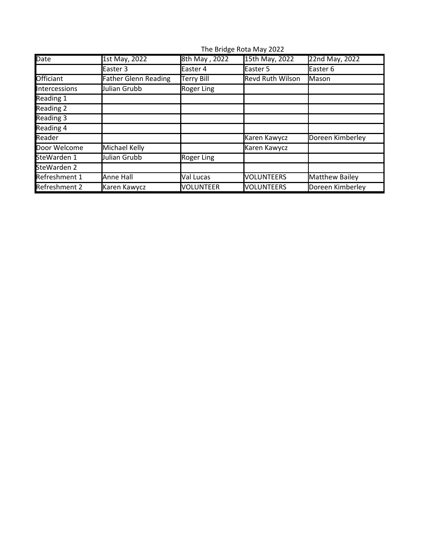|               | THE BHUSE ROLD MIDY ZUZZ    |                   |                         |                       |  |
|---------------|-----------------------------|-------------------|-------------------------|-----------------------|--|
| <b>Date</b>   | 1st May, 2022               | 8th May, 2022     | 15th May, 2022          | 22nd May, 2022        |  |
|               | Easter 3                    | Easter 4          | Easter 5                | Easter 6              |  |
| Officiant     | <b>Father Glenn Reading</b> | <b>Terry Bill</b> | <b>Revd Ruth Wilson</b> | Mason                 |  |
| Intercessions | Julian Grubb                | <b>Roger Ling</b> |                         |                       |  |
| Reading 1     |                             |                   |                         |                       |  |
| Reading 2     |                             |                   |                         |                       |  |
| Reading 3     |                             |                   |                         |                       |  |
| Reading 4     |                             |                   |                         |                       |  |
| Reader        |                             |                   | Karen Kawycz            | Doreen Kimberley      |  |
| Door Welcome  | Michael Kelly               |                   | Karen Kawycz            |                       |  |
| SteWarden 1   | Julian Grubb                | Roger Ling        |                         |                       |  |
| SteWarden 2   |                             |                   |                         |                       |  |
| Refreshment 1 | Anne Hall                   | Val Lucas         | <b>VOLUNTEERS</b>       | <b>Matthew Bailey</b> |  |
| Refreshment 2 | Karen Kawycz                | <b>VOLUNTEER</b>  | <b>VOLUNTEERS</b>       | Doreen Kimberley      |  |

The Bridge Rota May 2022